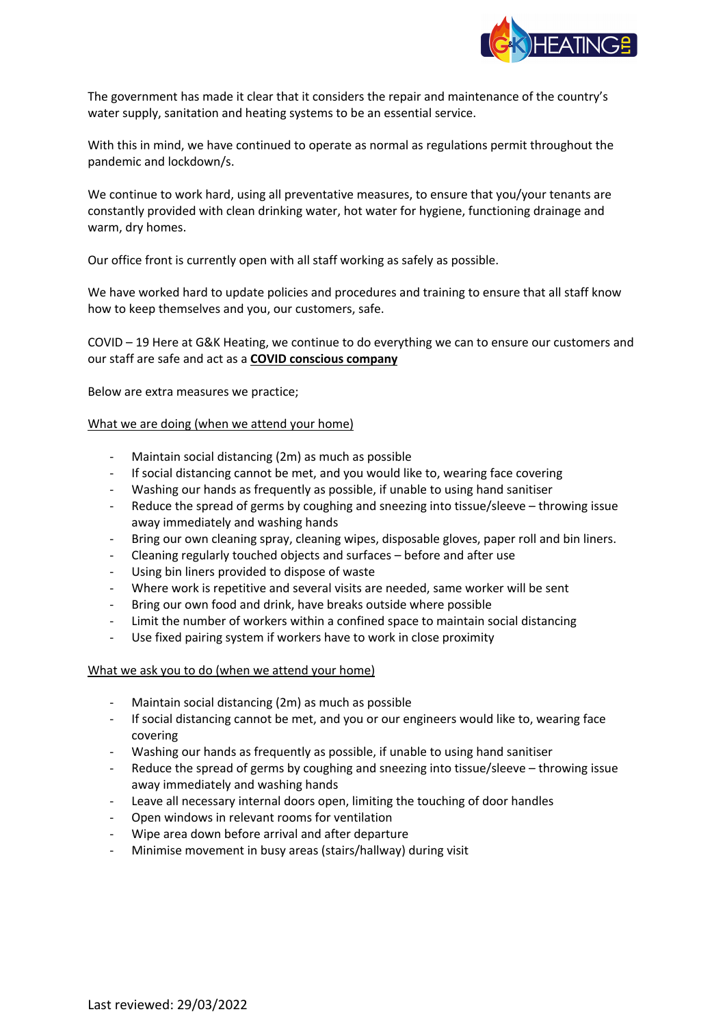

The government has made it clear that it considers the repair and maintenance of the country's water supply, sanitation and heating systems to be an essential service.

With this in mind, we have continued to operate as normal as regulations permit throughout the pandemic and lockdown/s.

We continue to work hard, using all preventative measures, to ensure that you/your tenants are constantly provided with clean drinking water, hot water for hygiene, functioning drainage and warm, dry homes.

Our office front is currently open with all staff working as safely as possible.

We have worked hard to update policies and procedures and training to ensure that all staff know how to keep themselves and you, our customers, safe.

COVID – 19 Here at G&K Heating, we continue to do everything we can to ensure our customers and our staff are safe and act as a **COVID conscious company**

Below are extra measures we practice;

## What we are doing (when we attend your home)

- Maintain social distancing (2m) as much as possible
- If social distancing cannot be met, and you would like to, wearing face covering
- Washing our hands as frequently as possible, if unable to using hand sanitiser
- Reduce the spread of germs by coughing and sneezing into tissue/sleeve throwing issue away immediately and washing hands
- Bring our own cleaning spray, cleaning wipes, disposable gloves, paper roll and bin liners.
- Cleaning regularly touched objects and surfaces before and after use
- Using bin liners provided to dispose of waste
- Where work is repetitive and several visits are needed, same worker will be sent
- Bring our own food and drink, have breaks outside where possible
- Limit the number of workers within a confined space to maintain social distancing
- Use fixed pairing system if workers have to work in close proximity

## What we ask you to do (when we attend your home)

- Maintain social distancing (2m) as much as possible
- If social distancing cannot be met, and you or our engineers would like to, wearing face covering
- Washing our hands as frequently as possible, if unable to using hand sanitiser
- Reduce the spread of germs by coughing and sneezing into tissue/sleeve throwing issue away immediately and washing hands
- Leave all necessary internal doors open, limiting the touching of door handles
- Open windows in relevant rooms for ventilation
- Wipe area down before arrival and after departure
- Minimise movement in busy areas (stairs/hallway) during visit